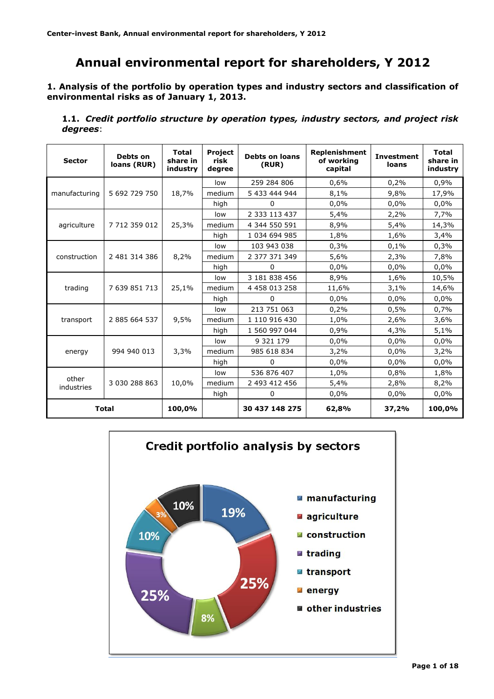# **Annual environmental report for shareholders, Y 2012**

**1. Analysis of the portfolio by operation types and industry sectors and classification of environmental risks as of January 1, 2013.**

**1.1.** *Credit portfolio structure by operation types, industry sectors, and project risk degrees*:

| <b>Sector</b>       | Debts on<br>loans (RUR) | <b>Total</b><br>share in<br>industry | <b>Project</b><br>risk<br>degree | <b>Replenishment</b><br><b>Debts on loans</b><br>of working<br>(RUR)<br>capital |       | <b>Investment</b><br>loans | <b>Total</b><br>share in<br>industry |
|---------------------|-------------------------|--------------------------------------|----------------------------------|---------------------------------------------------------------------------------|-------|----------------------------|--------------------------------------|
|                     |                         |                                      | low                              | 259 284 806                                                                     | 0,6%  | 0,2%                       | 0,9%                                 |
| manufacturing       | 5 692 729 750           | 18,7%                                | medium                           | 5 433 444 944                                                                   | 8,1%  | 9,8%                       | 17,9%                                |
|                     |                         |                                      | high                             | 0                                                                               | 0,0%  | 0,0%                       | 0,0%                                 |
|                     |                         |                                      | low                              | 2 3 3 1 1 3 4 3 7                                                               | 5,4%  | 2,2%                       | 7,7%                                 |
| agriculture         | 7 712 359 012           | 25,3%                                | medium                           | 4 344 550 591                                                                   | 8,9%  | 5,4%                       | 14,3%                                |
|                     |                         |                                      | high                             | 1 034 694 985                                                                   | 1,8%  | 1,6%                       | 3,4%                                 |
|                     |                         |                                      | low                              | 103 943 038                                                                     | 0,3%  | 0,1%                       | 0,3%                                 |
| construction        | 2 481 314 386           | 8,2%                                 | medium                           | 2 377 371 349                                                                   | 5,6%  | 2,3%                       | 7,8%                                 |
|                     |                         |                                      | high                             | $\Omega$                                                                        | 0,0%  | 0,0%                       | 0.0%                                 |
|                     |                         |                                      | low                              | 3 181 838 456                                                                   | 8,9%  | 1,6%                       | 10,5%                                |
| trading             | 7 639 851 713           | 25,1%                                | medium                           | 4 4 58 0 13 2 58                                                                | 11,6% | 3,1%                       | 14,6%                                |
|                     |                         |                                      | high                             | 0                                                                               | 0,0%  | 0,0%                       | 0,0%                                 |
|                     |                         | 9,5%                                 | low                              | 213 751 063                                                                     | 0,2%  | 0,5%                       | 0,7%                                 |
| transport           | 2 885 664 537           |                                      | medium                           | 1 110 916 430                                                                   | 1,0%  | 2,6%                       | 3,6%                                 |
|                     |                         |                                      | high                             | 1 560 997 044                                                                   | 0,9%  | 4,3%                       | 5,1%                                 |
|                     |                         |                                      | low                              | 9 321 179                                                                       | 0,0%  | 0,0%                       | 0,0%                                 |
| energy              | 994 940 013             | 3,3%                                 | medium                           | 985 618 834                                                                     | 3,2%  | 0,0%                       | 3,2%                                 |
|                     |                         |                                      | high                             | 0                                                                               | 0,0%  | 0,0%                       | 0,0%                                 |
|                     |                         |                                      | low                              | 536 876 407                                                                     | 1,0%  | 0,8%                       | 1,8%                                 |
| other<br>industries | 3 030 288 863           | 10,0%                                | medium                           | 2 493 412 456                                                                   | 5,4%  | 2,8%                       | 8,2%                                 |
|                     |                         |                                      | high                             | 0                                                                               | 0,0%  | 0,0%                       | 0,0%                                 |
| <b>Total</b>        |                         | 100,0%                               |                                  | 30 437 148 275                                                                  | 62,8% | 37,2%                      | 100,0%                               |

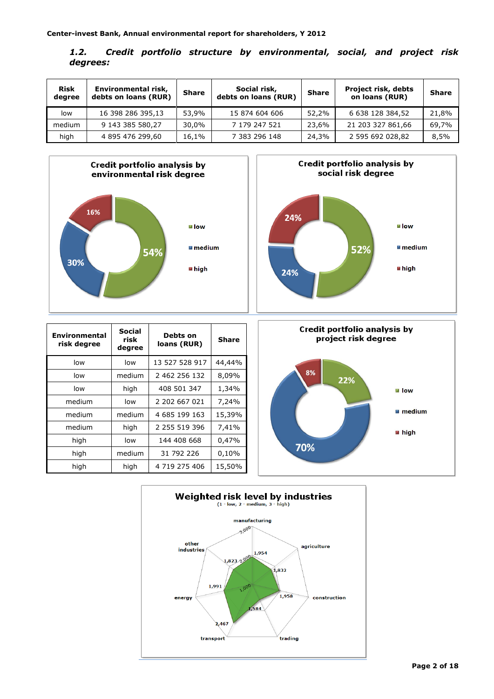| 1.2.     |  |  | Credit portfolio structure by environmental, social, and project risk |  |  |
|----------|--|--|-----------------------------------------------------------------------|--|--|
| degrees: |  |  |                                                                       |  |  |

| <b>Risk</b><br>degree | Environmental risk,<br>debts on loans (RUR) | <b>Share</b> | Social risk,<br>debts on loans (RUR) | Share | <b>Project risk, debts</b><br>on loans (RUR) | <b>Share</b> |
|-----------------------|---------------------------------------------|--------------|--------------------------------------|-------|----------------------------------------------|--------------|
| low                   | 16 398 286 395,13                           | 53.9%        | 15 874 604 606                       | 52,2% | 6 638 128 384,52                             | 21,8%        |
| medium                | 9 143 385 580,27                            | 30.0%        | 7 179 247 521                        | 23.6% | 21 203 327 861,66                            | 69,7%        |
| high                  | 4 895 476 299,60                            | 16.1%        | 7 383 296 148                        | 24,3% | 2 595 692 028,82                             | 8,5%         |





| <b>Environmental</b><br>risk degree | <b>Social</b><br>risk<br>degree | Debts on<br>loans (RUR) | Share  |
|-------------------------------------|---------------------------------|-------------------------|--------|
| low                                 | low                             | 13 527 528 917          | 44,44% |
| low                                 | medium                          | 2 462 256 132           | 8,09%  |
| low                                 | high                            | 408 501 347             | 1,34%  |
| medium                              | low                             | 2 202 667 021           | 7,24%  |
| medium                              | medium                          | 4 685 199 163           | 15,39% |
| medium                              | high                            | 2 255 519 396           | 7,41%  |
| high                                | low                             | 144 408 668             | 0,47%  |
| high                                | medium                          | 31 792 226              | 0,10%  |
| high                                | high                            | 4 719 275 406           | 15,50% |



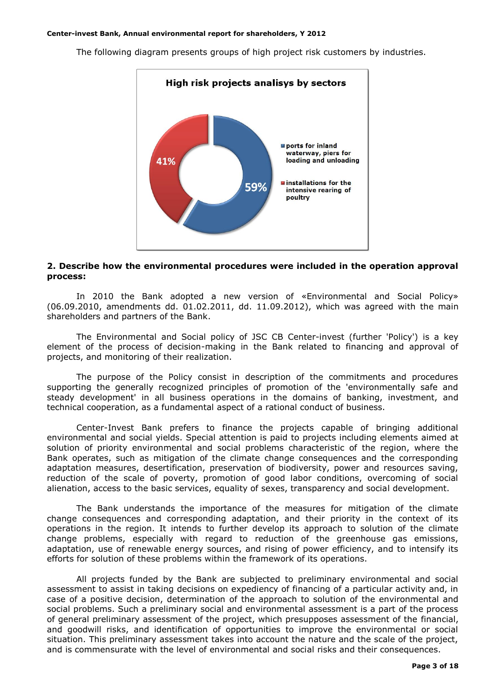

The following diagram presents groups of high project risk customers by industries.

### **2. Describe how the environmental procedures were included in the operation approval process:**

In 2010 the Bank adopted a new version of «Environmental and Social Policy» (06.09.2010, amendments dd. 01.02.2011, dd. 11.09.2012), which was agreed with the main shareholders and partners of the Bank.

The Environmental and Social policy of JSC CB Center-invest (further 'Policy') is a key element of the process of decision-making in the Bank related to financing and approval of projects, and monitoring of their realization.

The purpose of the Policy consist in description of the commitments and procedures supporting the generally recognized principles of promotion of the 'environmentally safe and steady development' in all business operations in the domains of banking, investment, and technical cooperation, as a fundamental aspect of a rational conduct of business.

Center-Invest Bank prefers to finance the projects capable of bringing additional environmental and social yields. Special attention is paid to projects including elements aimed at solution of priority environmental and social problems characteristic of the region, where the Bank operates, such as mitigation of the climate change consequences and the corresponding adaptation measures, desertification, preservation of biodiversity, power and resources saving, reduction of the scale of poverty, promotion of good labor conditions, overcoming of social alienation, access to the basic services, equality of sexes, transparency and social development.

The Bank understands the importance of the measures for mitigation of the climate change consequences and corresponding adaptation, and their priority in the context of its operations in the region. It intends to further develop its approach to solution of the climate change problems, especially with regard to reduction of the greenhouse gas emissions, adaptation, use of renewable energy sources, and rising of power efficiency, and to intensify its efforts for solution of these problems within the framework of its operations.

All projects funded by the Bank are subjected to preliminary environmental and social assessment to assist in taking decisions on expediency of financing of a particular activity and, in case of a positive decision, determination of the approach to solution of the environmental and social problems. Such a preliminary social and environmental assessment is a part of the process of general preliminary assessment of the project, which presupposes assessment of the financial, and goodwill risks, and identification of opportunities to improve the environmental or social situation. This preliminary assessment takes into account the nature and the scale of the project, and is commensurate with the level of environmental and social risks and their consequences.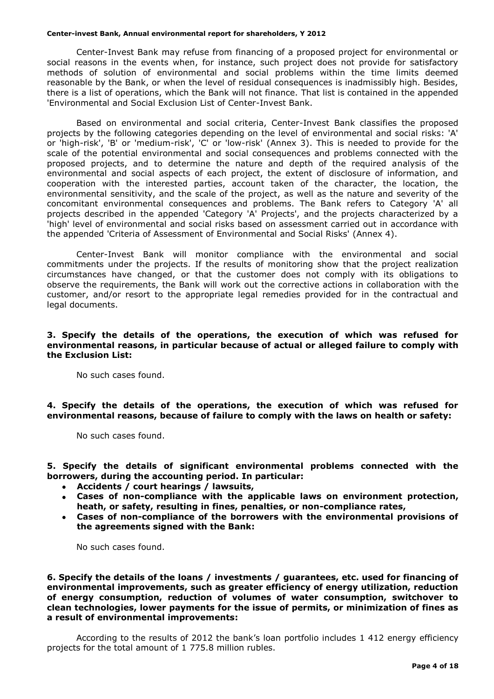Center-Invest Bank may refuse from financing of a proposed project for environmental or social reasons in the events when, for instance, such project does not provide for satisfactory methods of solution of environmental and social problems within the time limits deemed reasonable by the Bank, or when the level of residual consequences is inadmissibly high. Besides, there is a list of operations, which the Bank will not finance. That list is contained in the appended 'Environmental and Social Exclusion List of Center-Invest Bank.

Based on environmental and social criteria, Center-Invest Bank classifies the proposed projects by the following categories depending on the level of environmental and social risks: 'A' or 'high-risk', 'B' or 'medium-risk', 'C' or 'low-risk' (Annex 3). This is needed to provide for the scale of the potential environmental and social consequences and problems connected with the proposed projects, and to determine the nature and depth of the required analysis of the environmental and social aspects of each project, the extent of disclosure of information, and cooperation with the interested parties, account taken of the character, the location, the environmental sensitivity, and the scale of the project, as well as the nature and severity of the concomitant environmental consequences and problems. The Bank refers to Category 'A' all projects described in the appended 'Category 'A' Projects', and the projects characterized by a 'high' level of environmental and social risks based on assessment carried out in accordance with the appended 'Criteria of Assessment of Environmental and Social Risks' (Annex 4).

Center-Invest Bank will monitor compliance with the environmental and social commitments under the projects. If the results of monitoring show that the project realization circumstances have changed, or that the customer does not comply with its obligations to observe the requirements, the Bank will work out the corrective actions in collaboration with the customer, and/or resort to the appropriate legal remedies provided for in the contractual and legal documents.

# **3. Specify the details of the operations, the execution of which was refused for environmental reasons, in particular because of actual or alleged failure to comply with the Exclusion List:**

No such cases found.

**4. Specify the details of the operations, the execution of which was refused for environmental reasons, because of failure to comply with the laws on health or safety:**

No such cases found.

**5. Specify the details of significant environmental problems connected with the borrowers, during the accounting period. In particular:**

- **Accidents / court hearings / lawsuits,**
- **Cases of non-compliance with the applicable laws on environment protection, heath, or safety, resulting in fines, penalties, or non-compliance rates,**
- **Cases of non-compliance of the borrowers with the environmental provisions of the agreements signed with the Bank:**

No such cases found.

**6. Specify the details of the loans / investments / guarantees, etc. used for financing of environmental improvements, such as greater efficiency of energy utilization, reduction of energy consumption, reduction of volumes of water consumption, switchover to clean technologies, lower payments for the issue of permits, or minimization of fines as a result of environmental improvements:**

According to the results of 2012 the bank's loan portfolio includes 1 412 energy efficiency projects for the total amount of 1 775.8 million rubles.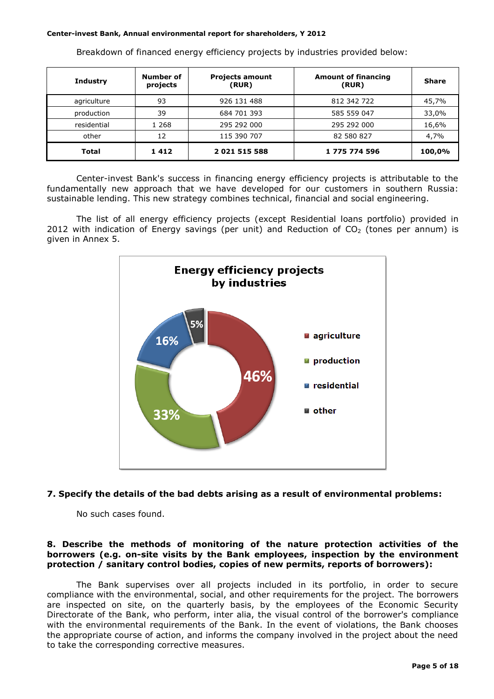| <b>Industry</b> | Number of<br>projects | <b>Projects amount</b><br>(RUR) | <b>Amount of financing</b><br>(RUR) | <b>Share</b> |
|-----------------|-----------------------|---------------------------------|-------------------------------------|--------------|
| agriculture     | 93                    | 926 131 488                     | 812 342 722                         | 45,7%        |
| production      | 39                    | 684 701 393                     | 585 559 047                         | 33,0%        |
| residential     | 1 268                 | 295 292 000                     | 295 292 000                         | 16,6%        |
| other           | 12                    | 115 390 707                     | 82 580 827                          | 4,7%         |
| Total           | 1412                  | 2 021 515 588                   | 1 775 774 596                       | 100,0%       |

Breakdown of financed energy efficiency projects by industries provided below:

Center-invest Bank's success in financing energy efficiency projects is attributable to the fundamentally new approach that we have developed for our customers in southern Russia: sustainable lending. This new strategy combines technical, financial and social engineering.

The list of all energy efficiency projects (except Residential loans portfolio) provided in 2012 with indication of Energy savings (per unit) and Reduction of  $CO<sub>2</sub>$  (tones per annum) is given in Annex 5.



# **7. Specify the details of the bad debts arising as a result of environmental problems:**

No such cases found.

# **8. Describe the methods of monitoring of the nature protection activities of the borrowers (e.g. on-site visits by the Bank employees, inspection by the environment protection / sanitary control bodies, copies of new permits, reports of borrowers):**

The Bank supervises over all projects included in its portfolio, in order to secure compliance with the environmental, social, and other requirements for the project. The borrowers are inspected on site, on the quarterly basis, by the employees of the Economic Security Directorate of the Bank, who perform, inter alia, the visual control of the borrower's compliance with the environmental requirements of the Bank. In the event of violations, the Bank chooses the appropriate course of action, and informs the company involved in the project about the need to take the corresponding corrective measures.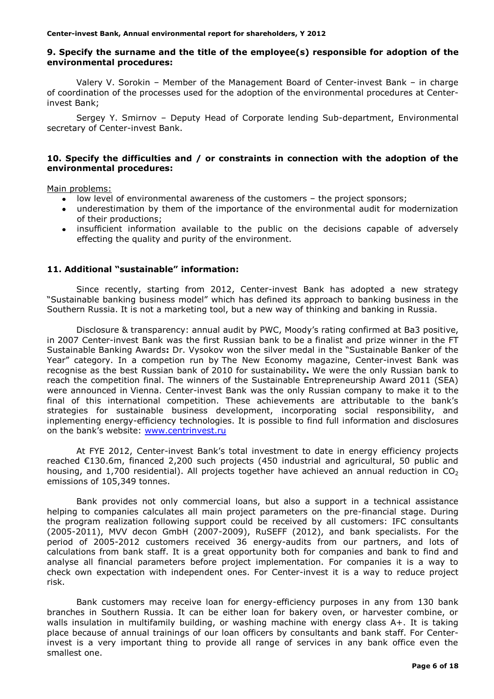# **9. Specify the surname and the title of the employee(s) responsible for adoption of the environmental procedures:**

Valery V. Sorokin – Member of the Management Board of Center-invest Bank – in charge of coordination of the processes used for the adoption of the environmental procedures at Centerinvest Bank;

Sergey Y. Smirnov – Deputy Head of Corporate lending Sub-department, Environmental secretary of Center-invest Bank.

# **10. Specify the difficulties and / or constraints in connection with the adoption of the environmental procedures:**

Main problems:

- low level of environmental awareness of the customers the project sponsors;
- underestimation by them of the importance of the environmental audit for modernization of their productions;
- $\bullet$ insufficient information available to the public on the decisions capable of adversely effecting the quality and purity of the environment.

# **11. Additional "sustainable" information:**

Since recently, starting from 2012, Center-invest Bank has adopted a new strategy "Sustainable banking business model" which has defined its approach to banking business in the Southern Russia. It is not a marketing tool, but a new way of thinking and banking in Russia.

Disclosure & transparency: annual audit by PWC, Moody's rating confirmed at Ba3 positive, in 2007 Center-invest Bank was the first Russian bank to be a finalist and prize winner in the FT Sustainable Banking Awards**:** Dr. Vysokov won the silver medal in the "Sustainable Banker of the Year" category. In a competion run by The New Economy magazine, Center-invest Bank was recognise as the best Russian bank of 2010 for sustainability**.** We were the only Russian bank to reach the competition final. The winners of the Sustainable Entrepreneurship Award 2011 (SEA) were announced in Vienna. Center-invest Bank was the only Russian company to make it to the final of this international competition. These achievements are attributable to the bank's strategies for sustainable business development, incorporating social responsibility, and inplementing energy-efficiency technologies. It is possible to find full information and disclosures on the bank's website: [www.centrinvest.ru](http://www.centrinvest.ru/)

At FYE 2012, Сenter-invest Bank's total investment to date in energy efficiency projects reached €130.6m, financed 2,200 such projects (450 industrial and agricultural, 50 public and housing, and 1,700 residential). All projects together have achieved an annual reduction in  $CO<sub>2</sub>$ emissions of 105,349 tonnes.

Bank provides not only commercial loans, but also a support in a technical assistance helping to companies calculates all main project parameters on the pre-financial stage. During the program realization following support could be received by all customers: IFC consultants (2005-2011), MVV decon GmbH (2007-2009), RuSEFF (2012), and bank specialists. For the period of 2005-2012 customers received 36 energy-audits from our partners, and lots of calculations from bank staff. It is a great opportunity both for companies and bank to find and analyse all financial parameters before project implementation. For companies it is a way to check own expectation with independent ones. For Center-invest it is a way to reduce project risk.

Bank customers may receive loan for energy-efficiency purposes in any from 130 bank branches in Southern Russia. It can be either loan for bakery oven, or harvester combine, or walls insulation in multifamily building, or washing machine with energy class A+. It is taking place because of annual trainings of our loan officers by consultants and bank staff. For Centerinvest is a very important thing to provide all range of services in any bank office even the smallest one.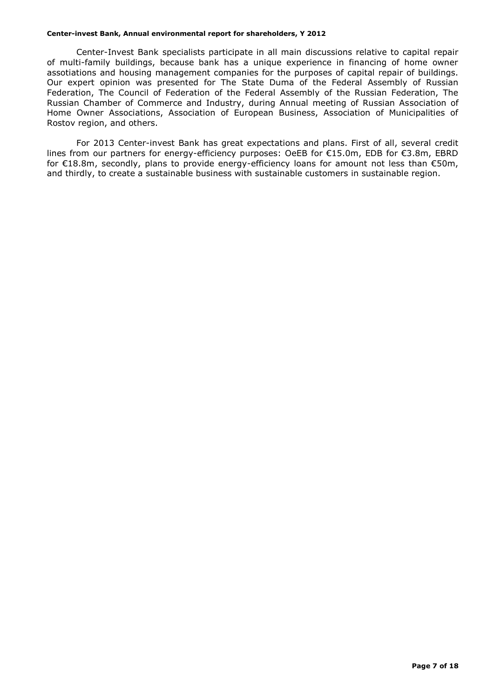Center-Invest Bank specialists participate in all main discussions relative to capital repair of multi-family buildings, because bank has a unique experience in financing of home owner assotiations and housing management companies for the purposes of capital repair of buildings. Our expert opinion was presented for The State Duma of the Federal Assembly of Russian Federation, The Council of Federation of the Federal Assembly of the Russian Federation, The Russian Chamber of Commerce and Industry, during Annual meeting of Russian Association of Home Owner Associations, Association of European Business, Association of Municipalities of Rostov region, and others.

For 2013 Center-invest Bank has great expectations and plans. First of all, several credit lines from our partners for energy-efficiency purposes: OeEB for €15.0m, EDB for €3.8m, EBRD for €18.8m, secondly, plans to provide energy-efficiency loans for amount not less than €50m, and thirdly, to create a sustainable business with sustainable customers in sustainable region.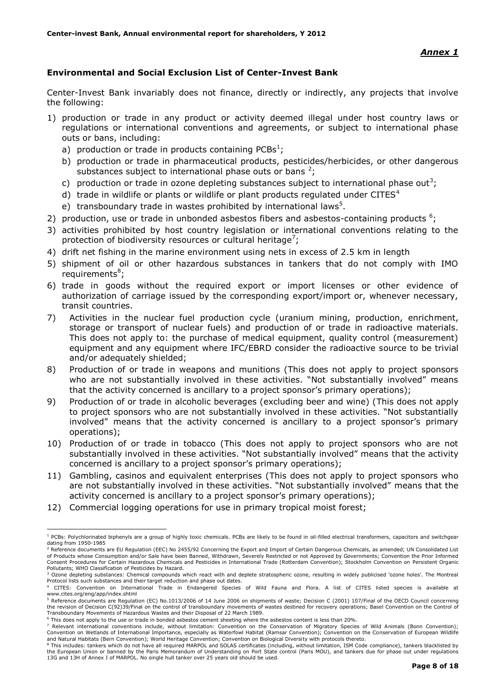# **Environmental and Social Exclusion List of Center-Invest Bank**

Center-Invest Bank invariably does not finance, directly or indirectly, any projects that involve the following:

- 1) production or trade in any product or activity deemed illegal under host country laws or regulations or international conventions and agreements, or subject to international phase outs or bans, including:
	- a) production or trade in products containing PCBs<sup>1</sup>;
	- b) production or trade in pharmaceutical products, pesticides/herbicides, or other dangerous substances subject to international phase outs or bans  $2$ ;
	- c) production or trade in ozone depleting substances subject to international phase out<sup>3</sup>;
	- d) trade in wildlife or plants or wildlife or plant products regulated under CITES $4$
	- e) transboundary trade in wastes prohibited by international laws<sup>5</sup>.
- 2) production, use or trade in unbonded asbestos fibers and asbestos-containing products  $6$ ;
- 3) activities prohibited by host country legislation or international conventions relating to the protection of biodiversity resources or cultural heritage<sup>7</sup>;
- 4) drift net fishing in the marine environment using nets in excess of 2.5 km in length
- 5) shipment of oil or other hazardous substances in tankers that do not comply with IMO requirements<sup>8</sup>;
- 6) trade in goods without the required export or import licenses or other evidence of authorization of carriage issued by the corresponding export/import or, whenever necessary, transit countries.
- 7) Activities in the nuclear fuel production cycle (uranium mining, production, enrichment, storage or transport of nuclear fuels) and production of or trade in radioactive materials. This does not apply to: the purchase of medical equipment, quality control (measurement) equipment and any equipment where IFC/EBRD consider the radioactive source to be trivial and/or adequately shielded;
- 8) Production of or trade in weapons and munitions (This does not apply to project sponsors who are not substantially involved in these activities. "Not substantially involved" means that the activity concerned is ancillary to a project sponsor's primary operations);
- 9) Production of or trade in alcoholic beverages (excluding beer and wine) (This does not apply to project sponsors who are not substantially involved in these activities. "Not substantially involved" means that the activity concerned is ancillary to a project sponsor's primary operations);
- 10) Production of or trade in tobacco (This does not apply to project sponsors who are not substantially involved in these activities. "Not substantially involved" means that the activity concerned is ancillary to a project sponsor's primary operations);
- 11) Gambling, casinos and equivalent enterprises (This does not apply to project sponsors who are not substantially involved in these activities. "Not substantially involved" means that the activity concerned is ancillary to a project sponsor's primary operations);
- 12) Commercial logging operations for use in primary tropical moist forest;

1

<sup>&</sup>lt;sup>1</sup> PCBs: Polychlorinated biphenyls are a group of highly toxic chemicals. PCBs are likely to be found in oil-filled electrical transformers, capacitors and switchgear dating from 1950-1985

<sup>&</sup>lt;sup>2</sup> Reference documents are EU Regulation (EEC) No 2455/92 Concerning the Export and Import of Certain Dangerous Chemicals, as amended; UN Consolidated List of Products whose Consumption and/or Sale have been Banned, Withdrawn, Severely Restricted or not Approved by Governments; Convention the Prior Informed<br>Consent Procedures for Certain Hazardous Chemicals and Pesticides in Pollutants; WHO Classification of Pesticides by Hazard.

<sup>&</sup>lt;sup>3</sup> Ozone depleting substances: Chemical compounds which react with and deplete stratospheric ozone, resulting in widely publicised 'ozone holes'. The Montreal Protocol lists such substances and their target reduction and phase out dates.

<sup>4</sup> CITES: Convention on International Trade in Endangered Species of Wild Fauna and Flora. A list of CITES listed species is available at www.cites.org/eng/app/index.shtml

<sup>5</sup> Reference documents are Regulation (EC) No.1013/2006 of 14 June 2006 on shipments of waste; Decision C (2001) 107/Final of the OECD Council concerning the revision of Decision C(92)39/Final on the control of transboundary movements of wastes destined for recovery operations; Basel Convention on the Control of<br>Transboundary Movements of Hazardous Wastes and their Disposal

<sup>6</sup> This does not apply to the use or trade in bonded asbestos cement sheeting where the asbestos content is less than 20%.

This does not deprived the doe of clube in bonded dependent entering the Conservation of Migratory Species of Wild Animals (Bonn Convention); Convention on Wetlands of International Importance, especially as Waterfowl Habitat (Ramsar Convention); Convention on the Conservation of European Wildlife and Natural Habitats (Bern Convention); World Heritage Convention; Convention on Biological Diversity with protocols thereto.

<sup>&</sup>lt;sup>8</sup> This includes: tankers which do not have all required MARPOL and SOLAS certificates (including, without limitation, ISM Code compliance), tankers blacklisted by the European Union or banned by the Paris Memorandum of Understanding on Port State control (Paris MOU), and tankers due for phase out under regulations 13G and 13H of Annex I of MARPOL. No single hull tanker over 25 years old should be used.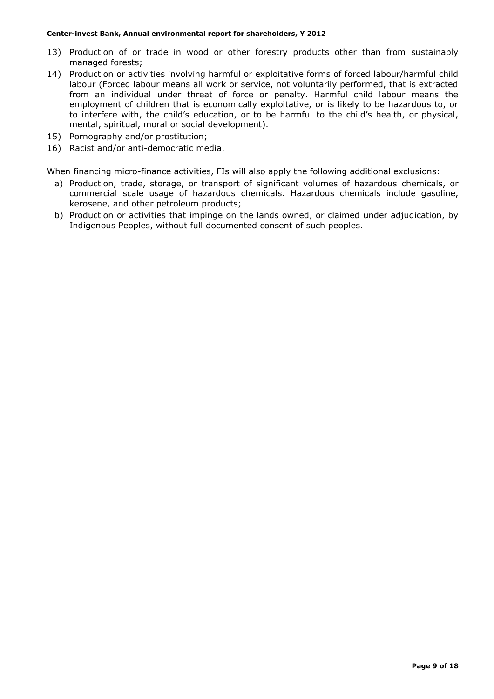- 13) Production of or trade in wood or other forestry products other than from sustainably managed forests;
- 14) Production or activities involving harmful or exploitative forms of forced labour/harmful child labour (Forced labour means all work or service, not voluntarily performed, that is extracted from an individual under threat of force or penalty. Harmful child labour means the employment of children that is economically exploitative, or is likely to be hazardous to, or to interfere with, the child's education, or to be harmful to the child's health, or physical, mental, spiritual, moral or social development).
- 15) Pornography and/or prostitution;
- 16) Racist and/or anti-democratic media.

When financing micro-finance activities, FIs will also apply the following additional exclusions:

- a) Production, trade, storage, or transport of significant volumes of hazardous chemicals, or commercial scale usage of hazardous chemicals. Hazardous chemicals include gasoline, kerosene, and other petroleum products;
- b) Production or activities that impinge on the lands owned, or claimed under adjudication, by Indigenous Peoples, without full documented consent of such peoples.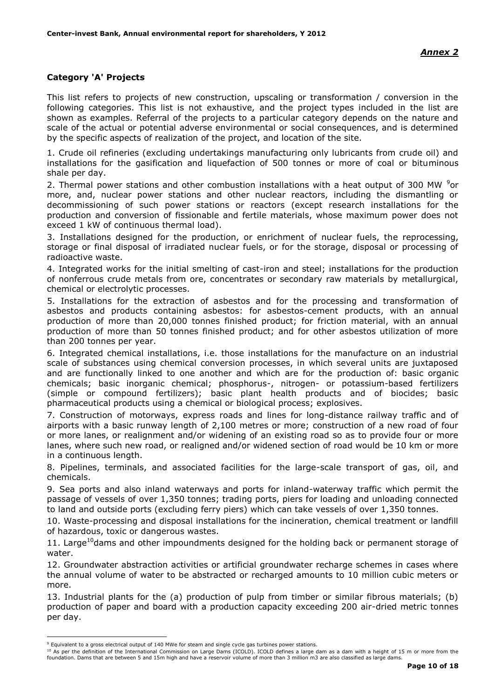# **Category 'A' Projects**

This list refers to projects of new construction, upscaling or transformation / conversion in the following categories. This list is not exhaustive, and the project types included in the list are shown as examples. Referral of the projects to a particular category depends on the nature and scale of the actual or potential adverse environmental or social consequences, and is determined by the specific aspects of realization of the project, and location of the site.

1. Crude oil refineries (excluding undertakings manufacturing only lubricants from crude oil) and installations for the gasification and liquefaction of 500 tonnes or more of coal or bituminous shale per day.

2. Thermal power stations and other combustion installations with a heat output of 300 MW  $9$ or more, and, nuclear power stations and other nuclear reactors, including the dismantling or decommissioning of such power stations or reactors (except research installations for the production and conversion of fissionable and fertile materials, whose maximum power does not exceed 1 kW of continuous thermal load).

3. Installations designed for the production, or enrichment of nuclear fuels, the reprocessing, storage or final disposal of irradiated nuclear fuels, or for the storage, disposal or processing of radioactive waste.

4. Integrated works for the initial smelting of cast-iron and steel; installations for the production of nonferrous crude metals from ore, concentrates or secondary raw materials by metallurgical, chemical or electrolytic processes.

5. Installations for the extraction of asbestos and for the processing and transformation of asbestos and products containing asbestos: for asbestos-cement products, with an annual production of more than 20,000 tonnes finished product; for friction material, with an annual production of more than 50 tonnes finished product; and for other asbestos utilization of more than 200 tonnes per year.

6. Integrated chemical installations, i.e. those installations for the manufacture on an industrial scale of substances using chemical conversion processes, in which several units are juxtaposed and are functionally linked to one another and which are for the production of: basic organic chemicals; basic inorganic chemical; phosphorus-, nitrogen- or potassium-based fertilizers (simple or compound fertilizers); basic plant health products and of biocides; basic pharmaceutical products using a chemical or biological process; explosives.

7. Construction of motorways, express roads and lines for long-distance railway traffic and of airports with a basic runway length of 2,100 metres or more; construction of a new road of four or more lanes, or realignment and/or widening of an existing road so as to provide four or more lanes, where such new road, or realigned and/or widened section of road would be 10 km or more in a continuous length.

8. Pipelines, terminals, and associated facilities for the large-scale transport of gas, oil, and chemicals.

9. Sea ports and also inland waterways and ports for inland-waterway traffic which permit the passage of vessels of over 1,350 tonnes; trading ports, piers for loading and unloading connected to land and outside ports (excluding ferry piers) which can take vessels of over 1,350 tonnes.

10. Waste-processing and disposal installations for the incineration, chemical treatment or landfill of hazardous, toxic or dangerous wastes.

11. Large<sup>10</sup>dams and other impoundments designed for the holding back or permanent storage of water.

12. Groundwater abstraction activities or artificial groundwater recharge schemes in cases where the annual volume of water to be abstracted or recharged amounts to 10 million cubic meters or more.

13. Industrial plants for the (a) production of pulp from timber or similar fibrous materials; (b) production of paper and board with a production capacity exceeding 200 air-dried metric tonnes per day.

<u>.</u>

<sup>10</sup> As per the definition of the International Commission on Large Dams (ICOLD). ICOLD defines a large dam as a dam with a height of 15 m or more from the foundation. Dams that are between 5 and 15m high and have a reservoir volume of more than 3 million m3 are also classified as large dams.

<sup>9</sup> Equivalent to a gross electrical output of 140 MWe for steam and single cycle gas turbines power stations.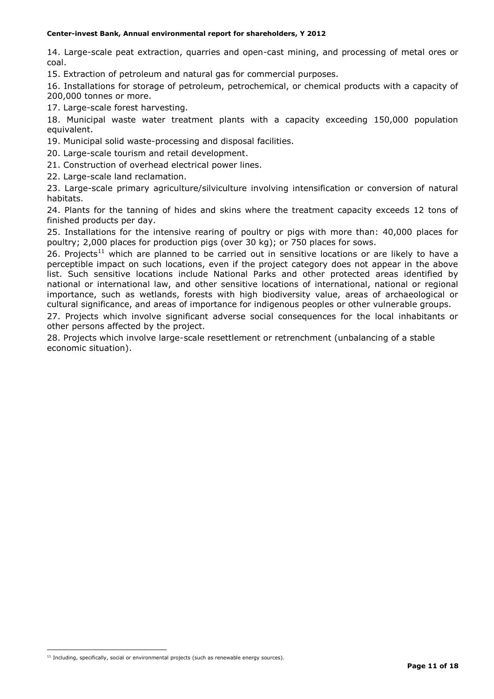14. Large-scale peat extraction, quarries and open-cast mining, and processing of metal ores or coal.

15. Extraction of petroleum and natural gas for commercial purposes.

16. Installations for storage of petroleum, petrochemical, or chemical products with a capacity of 200,000 tonnes or more.

17. Large-scale forest harvesting.

18. Municipal waste water treatment plants with a capacity exceeding 150,000 population equivalent.

19. Municipal solid waste-processing and disposal facilities.

20. Large-scale tourism and retail development.

21. Construction of overhead electrical power lines.

22. Large-scale land reclamation.

23. Large-scale primary agriculture/silviculture involving intensification or conversion of natural habitats.

24. Plants for the tanning of hides and skins where the treatment capacity exceeds 12 tons of finished products per day.

25. Installations for the intensive rearing of poultry or pigs with more than: 40,000 places for poultry; 2,000 places for production pigs (over 30 kg); or 750 places for sows.

26. Projects<sup>11</sup> which are planned to be carried out in sensitive locations or are likely to have a perceptible impact on such locations, even if the project category does not appear in the above list. Such sensitive locations include National Parks and other protected areas identified by national or international law, and other sensitive locations of international, national or regional importance, such as wetlands, forests with high biodiversity value, areas of archaeological or cultural significance, and areas of importance for indigenous peoples or other vulnerable groups.

27. Projects which involve significant adverse social consequences for the local inhabitants or other persons affected by the project.

28. Projects which involve large-scale resettlement or retrenchment (unbalancing of a stable economic situation).

1

 $11$  Including, specifically, social or environmental projects (such as renewable energy sources).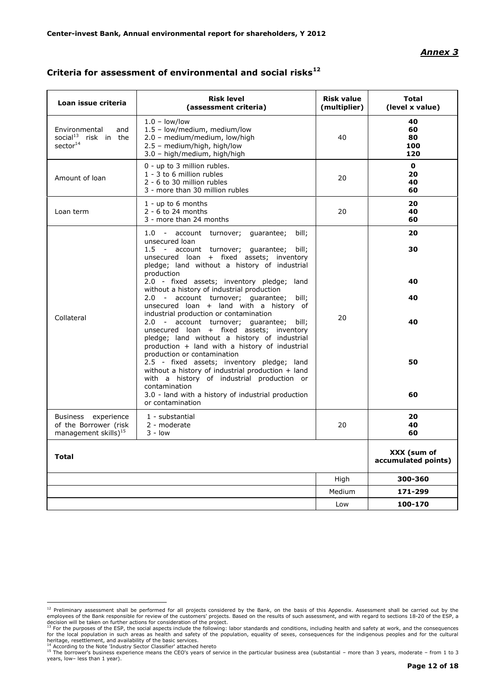### *Annex 3*

| Loan issue criteria                                                              | <b>Risk level</b><br>(assessment criteria)                                                                                                                                                                                                                                                                                                                                                                            | <b>Risk value</b><br>(multiplier) | <b>Total</b><br>(level x value)    |
|----------------------------------------------------------------------------------|-----------------------------------------------------------------------------------------------------------------------------------------------------------------------------------------------------------------------------------------------------------------------------------------------------------------------------------------------------------------------------------------------------------------------|-----------------------------------|------------------------------------|
| Environmental<br>and<br>social <sup>13</sup> risk in the<br>sector <sup>14</sup> | $1.0 - low/low$<br>1.5 - low/medium, medium/low<br>2.0 - medium/medium, low/high<br>2.5 - medium/high, high/low<br>3.0 - high/medium, high/high                                                                                                                                                                                                                                                                       | 40                                | 40<br>60<br>80<br>100<br>120       |
| Amount of loan                                                                   | 0 - up to 3 million rubles.<br>1 - 3 to 6 million rubles<br>2 - 6 to 30 million rubles<br>3 - more than 30 million rubles                                                                                                                                                                                                                                                                                             | 20                                | $\mathbf{o}$<br>20<br>40<br>60     |
| Loan term                                                                        | $1 - up to 6 months$<br>$2 - 6$ to 24 months<br>3 - more than 24 months                                                                                                                                                                                                                                                                                                                                               | 20                                | 20<br>40<br>60                     |
|                                                                                  | 1.0 - account turnover; quarantee;<br>bill;<br>unsecured loan<br>1.5 - account turnover; quarantee;<br>bill:<br>unsecured loan + fixed assets; inventory<br>pledge; land without a history of industrial<br>production                                                                                                                                                                                                |                                   | 20<br>30                           |
| Collateral                                                                       | 2.0 - fixed assets; inventory pledge; land<br>without a history of industrial production<br>2.0 - account turnover; guarantee; bill;<br>unsecured loan + land with a history of<br>industrial production or contamination<br>2.0 - account turnover; quarantee; bill;                                                                                                                                                 | 20                                | 40<br>40<br>40                     |
|                                                                                  | unsecured loan + fixed assets; inventory<br>pledge; land without a history of industrial<br>production + land with a history of industrial<br>production or contamination<br>2.5 - fixed assets; inventory pledge; land<br>without a history of industrial production + land<br>with a history of industrial production or<br>contamination<br>3.0 - land with a history of industrial production<br>or contamination |                                   | 50<br>60                           |
| Business experience<br>of the Borrower (risk<br>management skills) $^{15}$       | 1 - substantial<br>2 - moderate<br>$3 - low$                                                                                                                                                                                                                                                                                                                                                                          | 20                                | 20<br>40<br>60                     |
| <b>Total</b>                                                                     |                                                                                                                                                                                                                                                                                                                                                                                                                       |                                   | XXX (sum of<br>accumulated points) |
|                                                                                  |                                                                                                                                                                                                                                                                                                                                                                                                                       | High                              | 300-360                            |
|                                                                                  |                                                                                                                                                                                                                                                                                                                                                                                                                       | Medium                            | 171-299                            |
|                                                                                  |                                                                                                                                                                                                                                                                                                                                                                                                                       | Low                               | 100-170                            |

# **Criteria for assessment of environmental and social risks<sup>12</sup>**

The preliminary assessment shall be performed for all projects considered by the Bank, on the basis of this Appendix. Assessment shall be carried out by the stated out by the partied out by the stated out by the stated out employees of the Bank responsible for review of the customers' projects. Based on the results of such assessment, and with regard to sections 18-20 of the ESP, a<br>decision will be taken on further actions for consideration

heritage, resettlement, and availability of the basic services.

<sup>&</sup>lt;sup>14</sup> According to the Note 'Industry Sector Classifier' attached hereto<br><sup>15</sup> The borrower's business experience means the CEO's years of service in the particular business area (substantial – more than 3 years, moderate – years, low– less than 1 year).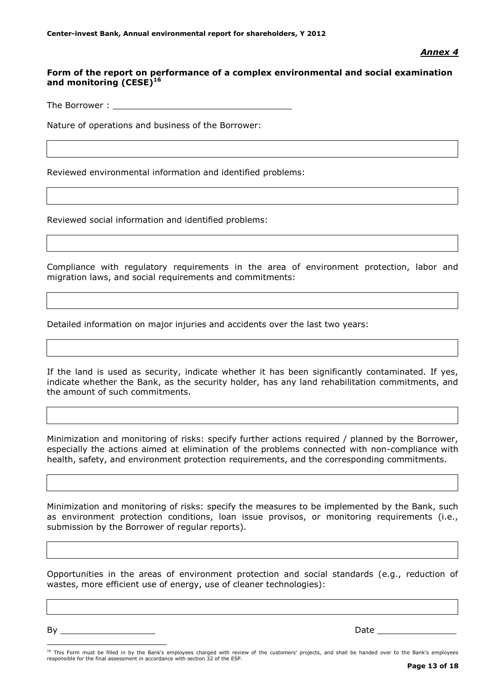# *Annex 4*

# **Form of the report on performance of a complex environmental and social examination and monitoring (CESE)<sup>16</sup>**

The Borrower :

Nature of operations and business of the Borrower:

Reviewed environmental information and identified problems:

Reviewed social information and identified problems:

Compliance with regulatory requirements in the area of environment protection, labor and migration laws, and social requirements and commitments:

Detailed information on major injuries and accidents over the last two years:

If the land is used as security, indicate whether it has been significantly contaminated. If yes, indicate whether the Bank, as the security holder, has any land rehabilitation commitments, and the amount of such commitments.

Minimization and monitoring of risks: specify further actions required / planned by the Borrower, especially the actions aimed at elimination of the problems connected with non-compliance with health, safety, and environment protection requirements, and the corresponding commitments.

Minimization and monitoring of risks: specify the measures to be implemented by the Bank, such as environment protection conditions, loan issue provisos, or monitoring requirements (i.e., submission by the Borrower of regular reports).

Opportunities in the areas of environment protection and social standards (e.g., reduction of wastes, more efficient use of energy, use of cleaner technologies):

By \_\_\_\_\_\_\_\_\_\_\_\_\_\_\_\_\_\_ Date \_\_\_\_\_\_\_\_\_\_\_\_\_\_\_

<u>.</u>

<sup>&</sup>lt;sup>16</sup> This Form must be filled in by the Bank's employees charged with review of the customers' projects, and shall be handed over to the Bank's employees responsible for the final assessment in accordance with section 32 of the ESP.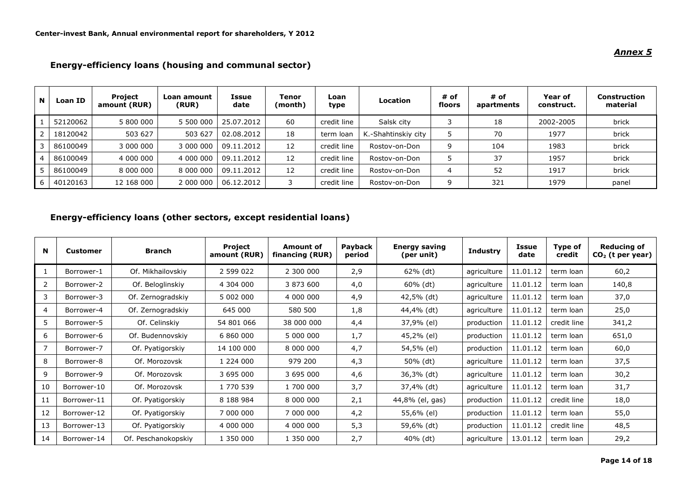#### **<sup>N</sup> Loan ID Project amount (RUR) Loan amount (RUR) Issue date Tenor (month) Loan the Location**  $\begin{array}{c} 4 \text{ of } \\ \text{type} \end{array}$ **floors # of apartments Year of construct. Construction material** 1 | 52120062 | 5 800 000 | 5 500 000 | 25.07.2012 | 60 | credit line | Salsk city 3 | 18 | 2002-2005 | brick 2 18120042 503 627 503 627 02.08.2012 18 term loan K.-Shahtinskiy city 5 70 1977 brick 3 | 86100049 | 3 000 000 | 3 000 000 | 09.11.2012 | 12 | credit line | Rostov-on-Don | 9 | 104 | 1983 | brick 4 | 86100049 | 4 000 000 | 4 000 000 | 09.11.2012 | 12 | credit line | Rostov-on-Don | 5 | 37 | 1957 | brick 5 | 86100049 | 8 000 000 | 8 000 000 | 09.11.2012 | 12 | credit line | Rostov-on-Don | 4 | 52 | 1917 | brick 6 | 40120163 | 12 168 000 | 2 000 000 | 06.12.2012 | 3 | credit line | Rostov-on-Don | 9 | 321 | 1979 | panel

**Energy-efficiency loans (housing and communal sector)**

# **Energy-efficiency loans (other sectors, except residential loans)**

| N  | Customer    | <b>Branch</b>       | Project<br>amount (RUR) | Amount of<br>financing (RUR) | Payback<br>period | <b>Energy saving</b><br>(per unit) | <b>Industry</b> | <b>Issue</b><br>date | Type of<br>credit | <b>Reducing of</b><br>$CO2$ (t per year) |
|----|-------------|---------------------|-------------------------|------------------------------|-------------------|------------------------------------|-----------------|----------------------|-------------------|------------------------------------------|
|    | Borrower-1  | Of. Mikhailovskiy   | 2 599 022               | 2 300 000                    | 2,9               | $62\%$ (dt)                        | agriculture     | 11.01.12             | term loan         | 60,2                                     |
| 2  | Borrower-2  | Of. Beloglinskiy    | 4 304 000               | 3 873 600                    | 4,0               | $60\%$ (dt)                        | agriculture     | 11.01.12             | term loan         | 140,8                                    |
| 3  | Borrower-3  | Of. Zernogradskiy   | 5 002 000               | 4 000 000                    | 4,9               | 42,5% (dt)                         | agriculture     | 11.01.12             | term loan         | 37,0                                     |
| 4  | Borrower-4  | Of. Zernogradskiy   | 645 000                 | 580 500                      | 1,8               | 44,4% (dt)                         | agriculture     | 11.01.12             | term loan         | 25,0                                     |
| 5  | Borrower-5  | Of. Celinskiy       | 54 801 066              | 38 000 000                   | 4,4               | 37,9% (el)                         | production      | 11.01.12             | credit line       | 341,2                                    |
| 6  | Borrower-6  | Of. Budennovskiy    | 6 860 000               | 5 000 000                    | 1,7               | 45,2% (el)                         | production      | 11.01.12             | term loan         | 651,0                                    |
|    | Borrower-7  | Of. Pyatigorskiy    | 14 100 000              | 8 000 000                    | 4,7               | 54,5% (el)                         | production      | 11.01.12             | term loan         | 60,0                                     |
| 8  | Borrower-8  | Of. Morozovsk       | 1 224 000               | 979 200                      | 4,3               | 50% (dt)                           | agriculture     | 11.01.12             | term loan         | 37,5                                     |
| 9  | Borrower-9  | Of. Morozovsk       | 3 695 000               | 3 695 000                    | 4,6               | 36,3% (dt)                         | agriculture     | 11.01.12             | term loan         | 30,2                                     |
| 10 | Borrower-10 | Of. Morozovsk       | 1 770 539               | 1 700 000                    | 3,7               | 37,4% (dt)                         | agriculture     | 11.01.12             | term loan         | 31,7                                     |
| 11 | Borrower-11 | Of. Pyatigorskiy    | 8 188 984               | 8 000 000                    | 2,1               | 44,8% (el, gas)                    | production      | 11.01.12             | credit line       | 18,0                                     |
| 12 | Borrower-12 | Of. Pyatigorskiy    | 7 000 000               | 7 000 000                    | 4,2               | 55,6% (el)                         | production      | 11.01.12             | term loan         | 55,0                                     |
| 13 | Borrower-13 | Of. Pyatigorskiy    | 4 000 000               | 4 000 000                    | 5,3               | 59,6% (dt)                         | production      | 11.01.12             | credit line       | 48,5                                     |
| 14 | Borrower-14 | Of. Peschanokopskiy | 1 350 000               | 1 350 000                    | 2,7               | 40% (dt)                           | agriculture     | 13.01.12             | term loan         | 29,2                                     |

*Annex 5*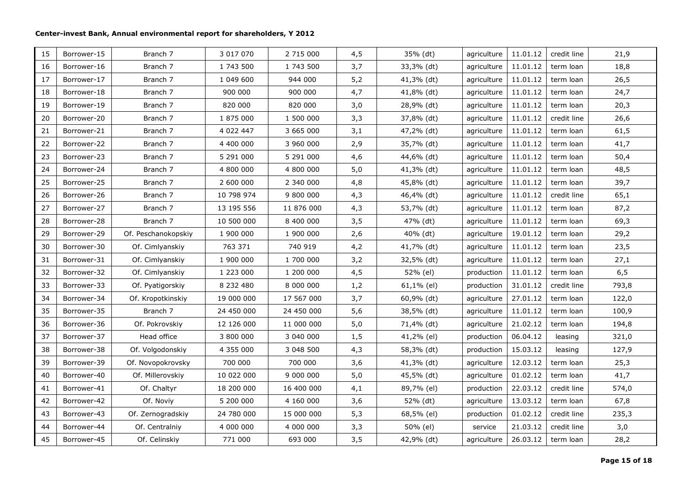| 15 | Borrower-15 | Branch 7            | 3 017 070  | 2 715 000  | 4,5 | 35% (dt)   | agriculture | 11.01.12 | credit line | 21,9  |
|----|-------------|---------------------|------------|------------|-----|------------|-------------|----------|-------------|-------|
| 16 | Borrower-16 | Branch 7            | 1 743 500  | 1 743 500  | 3,7 | 33,3% (dt) | agriculture | 11.01.12 | term loan   | 18,8  |
| 17 | Borrower-17 | Branch 7            | 1 049 600  | 944 000    | 5,2 | 41,3% (dt) | agriculture | 11.01.12 | term loan   | 26,5  |
| 18 | Borrower-18 | Branch 7            | 900 000    | 900 000    | 4,7 | 41,8% (dt) | agriculture | 11.01.12 | term loan   | 24,7  |
| 19 | Borrower-19 | Branch 7            | 820 000    | 820 000    | 3,0 | 28,9% (dt) | agriculture | 11.01.12 | term loan   | 20,3  |
| 20 | Borrower-20 | Branch 7            | 1 875 000  | 1 500 000  | 3,3 | 37,8% (dt) | agriculture | 11.01.12 | credit line | 26,6  |
| 21 | Borrower-21 | Branch 7            | 4 022 447  | 3 665 000  | 3,1 | 47,2% (dt) | agriculture | 11.01.12 | term loan   | 61,5  |
| 22 | Borrower-22 | Branch 7            | 4 400 000  | 3 960 000  | 2,9 | 35,7% (dt) | agriculture | 11.01.12 | term loan   | 41,7  |
| 23 | Borrower-23 | Branch 7            | 5 291 000  | 5 291 000  | 4,6 | 44,6% (dt) | agriculture | 11.01.12 | term loan   | 50,4  |
| 24 | Borrower-24 | Branch 7            | 4 800 000  | 4 800 000  | 5,0 | 41,3% (dt) | agriculture | 11.01.12 | term loan   | 48,5  |
| 25 | Borrower-25 | Branch 7            | 2 600 000  | 2 340 000  | 4,8 | 45,8% (dt) | agriculture | 11.01.12 | term loan   | 39,7  |
| 26 | Borrower-26 | Branch 7            | 10 798 974 | 9 800 000  | 4,3 | 46,4% (dt) | agriculture | 11.01.12 | credit line | 65,1  |
| 27 | Borrower-27 | Branch 7            | 13 195 556 | 11 876 000 | 4,3 | 53,7% (dt) | agriculture | 11.01.12 | term loan   | 87,2  |
| 28 | Borrower-28 | Branch 7            | 10 500 000 | 8 400 000  | 3,5 | 47% (dt)   | agriculture | 11.01.12 | term loan   | 69,3  |
| 29 | Borrower-29 | Of. Peschanokopskiy | 1 900 000  | 1 900 000  | 2,6 | 40% (dt)   | agriculture | 19.01.12 | term loan   | 29,2  |
| 30 | Borrower-30 | Of. Cimlyanskiy     | 763 371    | 740 919    | 4,2 | 41,7% (dt) | agriculture | 11.01.12 | term loan   | 23,5  |
| 31 | Borrower-31 | Of. Cimlyanskiy     | 1 900 000  | 1 700 000  | 3,2 | 32,5% (dt) | agriculture | 11.01.12 | term loan   | 27,1  |
| 32 | Borrower-32 | Of. Cimlyanskiy     | 1 223 000  | 1 200 000  | 4,5 | 52% (el)   | production  | 11.01.12 | term loan   | 6, 5  |
| 33 | Borrower-33 | Of. Pyatigorskiy    | 8 232 480  | 8 000 000  | 1,2 | 61,1% (el) | production  | 31.01.12 | credit line | 793,8 |
| 34 | Borrower-34 | Of. Kropotkinskiy   | 19 000 000 | 17 567 000 | 3,7 | 60,9% (dt) | agriculture | 27.01.12 | term loan   | 122,0 |
| 35 | Borrower-35 | Branch 7            | 24 450 000 | 24 450 000 | 5,6 | 38,5% (dt) | agriculture | 11.01.12 | term loan   | 100,9 |
| 36 | Borrower-36 | Of. Pokrovskiy      | 12 126 000 | 11 000 000 | 5,0 | 71,4% (dt) | agriculture | 21.02.12 | term loan   | 194,8 |
| 37 | Borrower-37 | Head office         | 3 800 000  | 3 040 000  | 1,5 | 41,2% (el) | production  | 06.04.12 | leasing     | 321,0 |
| 38 | Borrower-38 | Of. Volgodonskiy    | 4 355 000  | 3 048 500  | 4,3 | 58,3% (dt) | production  | 15.03.12 | leasing     | 127,9 |
| 39 | Borrower-39 | Of. Novopokrovsky   | 700 000    | 700 000    | 3,6 | 41,3% (dt) | agriculture | 12.03.12 | term loan   | 25,3  |
| 40 | Borrower-40 | Of. Millerovskiy    | 10 022 000 | 9 000 000  | 5,0 | 45,5% (dt) | agriculture | 01.02.12 | term loan   | 41,7  |
| 41 | Borrower-41 | Of. Chaltyr         | 18 200 000 | 16 400 000 | 4,1 | 89,7% (el) | production  | 22.03.12 | credit line | 574,0 |
| 42 | Borrower-42 | Of. Noviy           | 5 200 000  | 4 160 000  | 3,6 | 52% (dt)   | agriculture | 13.03.12 | term loan   | 67,8  |
| 43 | Borrower-43 | Of. Zernogradskiy   | 24 780 000 | 15 000 000 | 5,3 | 68,5% (el) | production  | 01.02.12 | credit line | 235,3 |
| 44 | Borrower-44 | Of. Centralniy      | 4 000 000  | 4 000 000  | 3,3 | 50% (el)   | service     | 21.03.12 | credit line | 3,0   |
| 45 | Borrower-45 | Of. Celinskiy       | 771 000    | 693 000    | 3,5 | 42,9% (dt) | agriculture | 26.03.12 | term loan   | 28,2  |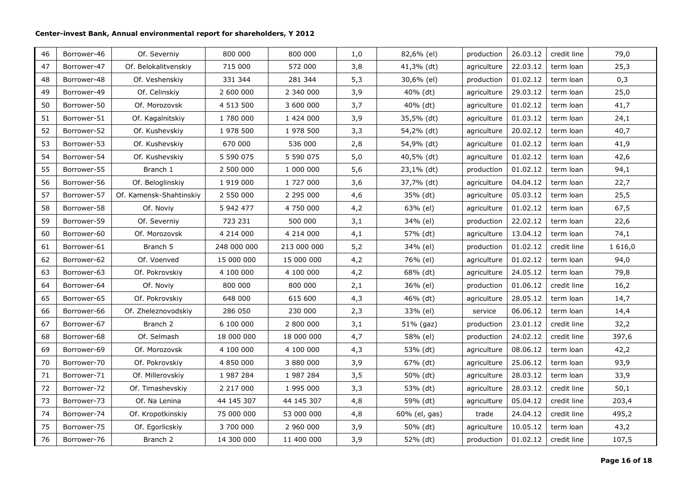| 46 | Borrower-46 | Of. Severniy            | 800 000     | 800 000     | 1,0 | 82,6% (el)    | production  | 26.03.12 | credit line | 79,0        |
|----|-------------|-------------------------|-------------|-------------|-----|---------------|-------------|----------|-------------|-------------|
| 47 | Borrower-47 | Of. Belokalitvenskiy    | 715 000     | 572 000     | 3,8 | 41,3% (dt)    | agriculture | 22.03.12 | term loan   | 25,3        |
| 48 | Borrower-48 | Of. Veshenskiy          | 331 344     | 281 344     | 5,3 | 30,6% (el)    | production  | 01.02.12 | term loan   | 0,3         |
| 49 | Borrower-49 | Of. Celinskiy           | 2 600 000   | 2 340 000   | 3,9 | 40% (dt)      | agriculture | 29.03.12 | term loan   | 25,0        |
| 50 | Borrower-50 | Of. Morozovsk           | 4 513 500   | 3 600 000   | 3,7 | 40% (dt)      | agriculture | 01.02.12 | term loan   | 41,7        |
| 51 | Borrower-51 | Of. Kagalnitskiy        | 1 780 000   | 1 424 000   | 3,9 | 35,5% (dt)    | agriculture | 01.03.12 | term loan   | 24,1        |
| 52 | Borrower-52 | Of. Kushevskiy          | 1 978 500   | 1 978 500   | 3,3 | 54,2% (dt)    | agriculture | 20.02.12 | term loan   | 40,7        |
| 53 | Borrower-53 | Of. Kushevskiy          | 670 000     | 536 000     | 2,8 | 54,9% (dt)    | agriculture | 01.02.12 | term loan   | 41,9        |
| 54 | Borrower-54 | Of. Kushevskiy          | 5 590 075   | 5 590 075   | 5,0 | 40,5% (dt)    | agriculture | 01.02.12 | term loan   | 42,6        |
| 55 | Borrower-55 | Branch 1                | 2 500 000   | 1 000 000   | 5,6 | 23,1% (dt)    | production  | 01.02.12 | term loan   | 94,1        |
| 56 | Borrower-56 | Of. Beloglinskiy        | 1 919 000   | 1 727 000   | 3,6 | 37,7% (dt)    | agriculture | 04.04.12 | term loan   | 22,7        |
| 57 | Borrower-57 | Of. Kamensk-Shahtinskiy | 2 550 000   | 2 295 000   | 4,6 | 35% (dt)      | agriculture | 05.03.12 | term loan   | 25,5        |
| 58 | Borrower-58 | Of. Noviy               | 5 942 477   | 4 750 000   | 4,2 | 63% (el)      | agriculture | 01.02.12 | term loan   | 67,5        |
| 59 | Borrower-59 | Of. Severniy            | 723 231     | 500 000     | 3,1 | 34% (el)      | production  | 22.02.12 | term loan   | 22,6        |
| 60 | Borrower-60 | Of. Morozovsk           | 4 214 000   | 4 214 000   | 4,1 | 57% (dt)      | agriculture | 13.04.12 | term loan   | 74,1        |
| 61 | Borrower-61 | Branch 5                | 248 000 000 | 213 000 000 | 5,2 | 34% (el)      | production  | 01.02.12 | credit line | 1 6 1 6 , 0 |
| 62 | Borrower-62 | Of. Voenved             | 15 000 000  | 15 000 000  | 4,2 | 76% (el)      | agriculture | 01.02.12 | term loan   | 94,0        |
| 63 | Borrower-63 | Of. Pokrovskiy          | 4 100 000   | 4 100 000   | 4,2 | 68% (dt)      | agriculture | 24.05.12 | term loan   | 79,8        |
| 64 | Borrower-64 | Of. Noviy               | 800 000     | 800 000     | 2,1 | 36% (el)      | production  | 01.06.12 | credit line | 16,2        |
| 65 | Borrower-65 | Of. Pokrovskiy          | 648 000     | 615 600     | 4,3 | 46% (dt)      | agriculture | 28.05.12 | term loan   | 14,7        |
| 66 | Borrower-66 | Of. Zheleznovodskiy     | 286 050     | 230 000     | 2,3 | 33% (el)      | service     | 06.06.12 | term loan   | 14,4        |
| 67 | Borrower-67 | Branch 2                | 6 100 000   | 2 800 000   | 3,1 | 51% (gaz)     | production  | 23.01.12 | credit line | 32,2        |
| 68 | Borrower-68 | Of. Selmash             | 18 000 000  | 18 000 000  | 4,7 | 58% (el)      | production  | 24.02.12 | credit line | 397,6       |
| 69 | Borrower-69 | Of. Morozovsk           | 4 100 000   | 4 100 000   | 4,3 | 53% (dt)      | agriculture | 08.06.12 | term loan   | 42,2        |
| 70 | Borrower-70 | Of. Pokrovskiy          | 4 850 000   | 3 880 000   | 3,9 | 67% (dt)      | agriculture | 25.06.12 | term loan   | 93,9        |
| 71 | Borrower-71 | Of. Millerovskiy        | 1 987 284   | 1 987 284   | 3,5 | 50% (dt)      | agriculture | 28.03.12 | term loan   | 33,9        |
| 72 | Borrower-72 | Of. Timashevskiy        | 2 217 000   | 1 995 000   | 3,3 | 53% (dt)      | agriculture | 28.03.12 | credit line | 50,1        |
| 73 | Borrower-73 | Of. Na Lenina           | 44 145 307  | 44 145 307  | 4,8 | 59% (dt)      | agriculture | 05.04.12 | credit line | 203,4       |
| 74 | Borrower-74 | Of. Kropotkinskiy       | 75 000 000  | 53 000 000  | 4,8 | 60% (el, gas) | trade       | 24.04.12 | credit line | 495,2       |
| 75 | Borrower-75 | Of. Egorlicskiy         | 3 700 000   | 2 960 000   | 3,9 | 50% (dt)      | agriculture | 10.05.12 | term loan   | 43,2        |
| 76 | Borrower-76 | Branch <sub>2</sub>     | 14 300 000  | 11 400 000  | 3,9 | 52% (dt)      | production  | 01.02.12 | credit line | 107,5       |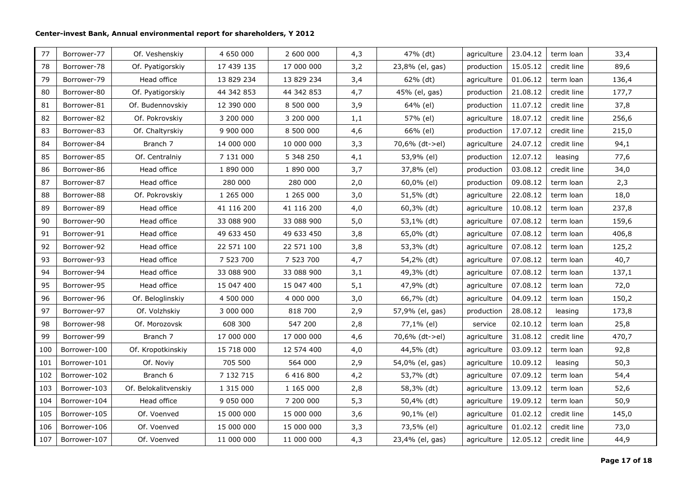| 77  | Borrower-77  | Of. Veshenskiy       | 4 650 000       | 2 600 000  | 4,3 | 47% (dt)        | agriculture | 23.04.12 | term loan   | 33,4  |
|-----|--------------|----------------------|-----------------|------------|-----|-----------------|-------------|----------|-------------|-------|
| 78  | Borrower-78  | Of. Pyatigorskiy     | 17 439 135      | 17 000 000 | 3,2 | 23,8% (el, gas) | production  | 15.05.12 | credit line | 89,6  |
| 79  | Borrower-79  | Head office          | 13 829 234      | 13 829 234 | 3,4 | 62% (dt)        | agriculture | 01.06.12 | term loan   | 136,4 |
| 80  | Borrower-80  | Of. Pyatigorskiy     | 44 342 853      | 44 342 853 | 4,7 | 45% (el, gas)   | production  | 21.08.12 | credit line | 177,7 |
| 81  | Borrower-81  | Of. Budennovskiy     | 12 390 000      | 8 500 000  | 3,9 | 64% (el)        | production  | 11.07.12 | credit line | 37,8  |
| 82  | Borrower-82  | Of. Pokrovskiy       | 3 200 000       | 3 200 000  | 1,1 | 57% (el)        | agriculture | 18.07.12 | credit line | 256,6 |
| 83  | Borrower-83  | Of. Chaltyrskiy      | 9 900 000       | 8 500 000  | 4,6 | 66% (el)        | production  | 17.07.12 | credit line | 215,0 |
| 84  | Borrower-84  | Branch 7             | 14 000 000      | 10 000 000 | 3,3 | 70,6% (dt->el)  | agriculture | 24.07.12 | credit line | 94,1  |
| 85  | Borrower-85  | Of. Centralniy       | 7 131 000       | 5 348 250  | 4,1 | 53,9% (el)      | production  | 12.07.12 | leasing     | 77,6  |
| 86  | Borrower-86  | Head office          | 1 890 000       | 1 890 000  | 3,7 | 37,8% (el)      | production  | 03.08.12 | credit line | 34,0  |
| 87  | Borrower-87  | Head office          | 280 000         | 280 000    | 2,0 | 60,0% (el)      | production  | 09.08.12 | term loan   | 2,3   |
| 88  | Borrower-88  | Of. Pokrovskiy       | 1 265 000       | 1 265 000  | 3,0 | 51,5% (dt)      | agriculture | 22.08.12 | term loan   | 18,0  |
| 89  | Borrower-89  | Head office          | 41 116 200      | 41 116 200 | 4,0 | 60,3% (dt)      | agriculture | 10.08.12 | term loan   | 237,8 |
| 90  | Borrower-90  | Head office          | 33 088 900      | 33 088 900 | 5,0 | 53,1% (dt)      | agriculture | 07.08.12 | term loan   | 159,6 |
| 91  | Borrower-91  | Head office          | 49 633 450      | 49 633 450 | 3,8 | 65,0% (dt)      | agriculture | 07.08.12 | term loan   | 406,8 |
| 92  | Borrower-92  | Head office          | 22 571 100      | 22 571 100 | 3,8 | 53,3% (dt)      | agriculture | 07.08.12 | term loan   | 125,2 |
| 93  | Borrower-93  | Head office          | 7 523 700       | 7 523 700  | 4,7 | 54,2% (dt)      | agriculture | 07.08.12 | term loan   | 40,7  |
| 94  | Borrower-94  | Head office          | 33 088 900      | 33 088 900 | 3,1 | 49,3% (dt)      | agriculture | 07.08.12 | term loan   | 137,1 |
| 95  | Borrower-95  | Head office          | 15 047 400      | 15 047 400 | 5,1 | 47,9% (dt)      | agriculture | 07.08.12 | term loan   | 72,0  |
| 96  | Borrower-96  | Of. Beloglinskiy     | 4 500 000       | 4 000 000  | 3,0 | 66,7% (dt)      | agriculture | 04.09.12 | term loan   | 150,2 |
| 97  | Borrower-97  | Of. Volzhskiy        | 3 000 000       | 818 700    | 2,9 | 57,9% (el, gas) | production  | 28.08.12 | leasing     | 173,8 |
| 98  | Borrower-98  | Of. Morozovsk        | 608 300         | 547 200    | 2,8 | 77,1% (el)      | service     | 02.10.12 | term loan   | 25,8  |
| 99  | Borrower-99  | Branch 7             | 17 000 000      | 17 000 000 | 4,6 | 70,6% (dt->el)  | agriculture | 31.08.12 | credit line | 470,7 |
| 100 | Borrower-100 | Of. Kropotkinskiy    | 15 718 000      | 12 574 400 | 4,0 | 44,5% (dt)      | agriculture | 03.09.12 | term loan   | 92,8  |
| 101 | Borrower-101 | Of. Noviy            | 705 500         | 564 000    | 2,9 | 54,0% (el, gas) | agriculture | 10.09.12 | leasing     | 50,3  |
| 102 | Borrower-102 | Branch 6             | 7 132 715       | 6 416 800  | 4,2 | 53,7% (dt)      | agriculture | 07.09.12 | term loan   | 54,4  |
| 103 | Borrower-103 | Of. Belokalitvenskiy | 1 315 000       | 1 165 000  | 2,8 | 58,3% (dt)      | agriculture | 13.09.12 | term loan   | 52,6  |
| 104 | Borrower-104 | Head office          | 9 0 5 0 0 0 0 0 | 7 200 000  | 5,3 | 50,4% (dt)      | agriculture | 19.09.12 | term loan   | 50,9  |
| 105 | Borrower-105 | Of. Voenved          | 15 000 000      | 15 000 000 | 3,6 | 90,1% (el)      | agriculture | 01.02.12 | credit line | 145,0 |
| 106 | Borrower-106 | Of. Voenved          | 15 000 000      | 15 000 000 | 3,3 | 73,5% (el)      | agriculture | 01.02.12 | credit line | 73,0  |
| 107 | Borrower-107 | Of. Voenved          | 11 000 000      | 11 000 000 | 4,3 | 23,4% (el, gas) | agriculture | 12.05.12 | credit line | 44,9  |